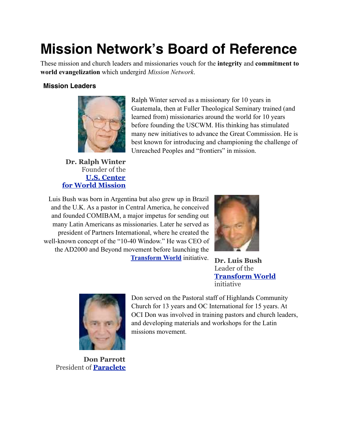# **Mission Network's Board of Reference**

These mission and church leaders and missionaries vouch for the **integrity** and **commitment to world evangelization** which undergird *Mission Network*.

## **Mission Leaders**



Ralph Winter served as a missionary for 10 years in Guatemala, then at Fuller Theological Seminary trained (and learned from) missionaries around the world for 10 years before founding the USCWM. His thinking has stimulated many new initiatives to advance the Great Commission. He is best known for introducing and championing the challenge of Unreached Peoples and "frontiers" in mission.

**Dr. Ralph Winter**  Founder of the **[U.S. Center](http://uscwm.org/) [for World Mission](http://uscwm.org/)**

Luis Bush was born in Argentina but also grew up in Brazil and the U.K. As a pastor in Central America, he conceived and founded COMIBAM, a major impetus for sending out many Latin Americans as missionaries. Later he served as president of Partners International, where he created the well-known concept of the "10-40 Window." He was CEO of the AD2000 and Beyond movement before launching the **[Transform World](http://www.transform-world.net/)** initiative.



 **Dr. Luis Bush** Leader of the **[Transform World](http://www.transform-world.net/)** initiative



**Don Parrott** President of **[Paraclete](http://paraclete.net/)**

Don served on the Pastoral staff of Highlands Community Church for 13 years and OC International for 15 years. At OCI Don was involved in training pastors and church leaders, and developing materials and workshops for the Latin missions movement.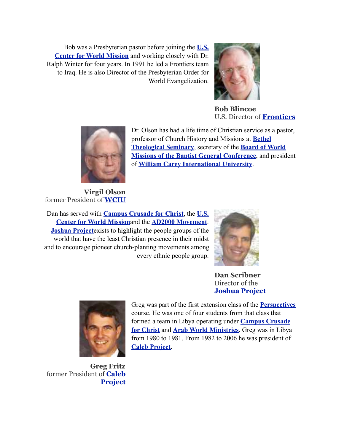Bob was a Presbyterian pastor before joining the **[U.S.](http://www.uscwm.org/)  [Center for World Mission](http://www.uscwm.org/)** and working closely with Dr. Ralph Winter for four years. In 1991 he led a Frontiers team to Iraq. He is also Director of the Presbyterian Order for World Evangelization.



**Bob Blincoe** U.S. Director of **[Frontiers](http://frontiers.org/)**



Dr. Olson has had a life time of Christian service as a pastor, professor of Church History and Missions at **[Bethel](http://seminary.bethel.edu/)  [Theological Seminary](http://seminary.bethel.edu/)**, secretary of the **[Board of World](http://www.bgcworld.org/)  [Missions of the Baptist General Conference](http://www.bgcworld.org/)**, and president of **[William Carey International University](http://wciu.edu/)**.

**Virgil Olson**  former President of **[WCIU](http://wciu.edu/)**

Dan has served with **[Campus Crusade for Christ](http://www.ccci.org/)**, the **[U.S.](http://www.uscwm.org/)  [Center for World Mission](http://www.uscwm.org/)**and the **[AD2000 Movement](http://www.ad2000.org/)**. **[Joshua Project](http://www.joshuaproject.net/)**exists to highlight the people groups of the world that have the least Christian presence in their midst and to encourage pioneer church-planting movements among every ethnic people group.



**Dan Scribner**  Director of the **[Joshua Project](http://www.joshuaproject.net/)**



Greg was part of the first extension class of the **[Perspectives](http://www.perspectives.org/)** course. He was one of four students from that class that formed a team in Libya operating under **[Campus Crusade](http://www.ccci.org/)  [for Christ](http://www.ccci.org/)** and **[Arab World Ministries](http://www.gospelcom.net/awm)**. Greg was in Libya from 1980 to 1981. From 1982 to 2006 he was president of **[Caleb Project](http://www.calebproject.org/)**.

**Greg Fritz** former President of **[Caleb](http://www.calebproject.org/)  [Project](http://www.calebproject.org/)**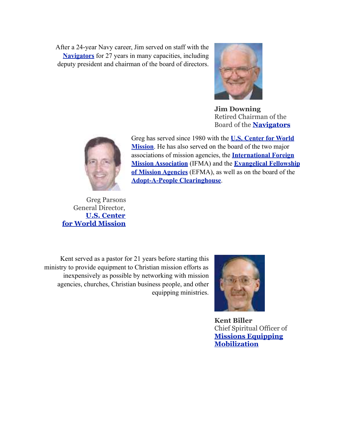After a 24-year Navy career, Jim served on staff with the **[Navigators](http://home.navigators.org/us)** for 27 years in many capacities, including deputy president and chairman of the board of directors.



**Jim Downing** Retired Chairman of the Board of the **[Navigators](http://home.navigators.org/us)**



Greg has served since 1980 with the **[U.S. Center for World](http://uscwm.org/)  [Mission](http://uscwm.org/)**. He has also served on the board of the two major associations of mission agencies, the **[International Foreign](http://www.ifmamissions.org/)  [Mission Association](http://www.ifmamissions.org/)** (IFMA) and the **[Evangelical Fellowship](http://community.gospelcom.net/Brix?pageID=7115)  [of Mission Agencies](http://community.gospelcom.net/Brix?pageID=7115)** (EFMA), as well as on the board of the **[Adopt-A-People Clearinghouse](http://www.adoptapeople.com/)**.

Greg Parsons General Director, **[U.S. Center](http://uscwm.org/) [for World Mission](http://uscwm.org/)**

Kent served as a pastor for 21 years before starting this ministry to provide equipment to Christian mission efforts as inexpensively as possible by networking with mission agencies, churches, Christian business people, and other equipping ministries.



**Kent Biller** Chief Spiritual Officer of **[Missions Equipping](http://www.missionsequip.org/)  [Mobilization](http://www.missionsequip.org/)**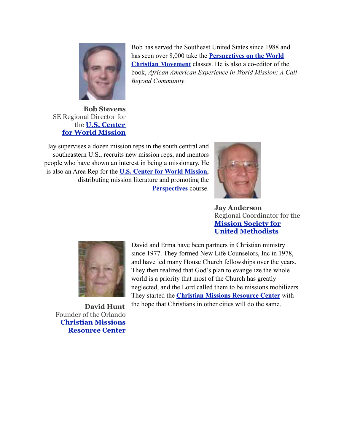

Bob has served the Southeast United States since 1988 and has seen over 8,000 take the **[Perspectives on the World](http://www.perspectives.org/)  [Christian Movement](http://www.perspectives.org/)** classes. He is also a co-editor of the book, *African American Experience in World Mission: A Call Beyond Community*.

### **Bob Stevens** SE Regional Director for the **[U.S. Center](http://uscwm.org/) [for World Mission](http://uscwm.org/)**

Jay supervises a dozen mission reps in the south central and southeastern U.S., recruits new mission reps, and mentors people who have shown an interest in being a missionary. He is also an Area Rep for the **[U.S. Center for World Mission](http://www.uscwm.org/)**, distributing mission literature and promoting the **[Perspectives](http://www.perspectives.org/)** course.



**Jay Anderson** Regional Coordinator for the **[Mission Society for](http://www.msum.org/)  [United Methodists](http://www.msum.org/)**



David and Erma have been partners in Christian ministry since 1977. They formed New Life Counselors, Inc in 1978, and have led many House Church fellowships over the years. They then realized that God's plan to evangelize the whole world is a priority that most of the Church has greatly neglected, and the Lord called them to be missions mobilizers. They started the **[Christian Missions Resource Center](http://www.christianmissionstoday.org/)** with the hope that Christians in other cities will do the same.

**David Hunt** Founder of the Orlando **[Christian Missions](http://www.christianmissionstoday.org/)  [Resource Center](http://www.christianmissionstoday.org/)**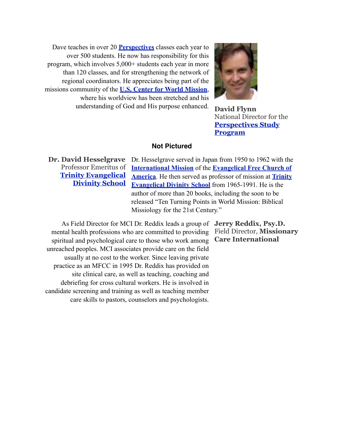Dave teaches in over 20 **[Perspectives](http://www.perspectives.org/)** classes each year to over 500 students. He now has responsibility for this program, which involves 5,000+ students each year in more than 120 classes, and for strengthening the network of regional coordinators. He appreciates being part of the missions community of the **[U.S. Center for World Mission](http://uscwm.org/)**, where his worldview has been stretched and his understanding of God and His purpose enhanced.



 **David Flynn** National Director for the **[Perspectives Study](http://www.perspectives.org/)  [Program](http://www.perspectives.org/)**

#### **Not Pictured**

**Dr. David Hesselgrave** Professor Emeritus of **[Trinity Evangelical](http://www.tiu.edu/divinity)  [Divinity School](http://www.tiu.edu/divinity)**

Dr. Hesselgrave served in Japan from 1950 to 1962 with the **[International Mission](http://efca.org/international/index.html)** of the **[Evangelical Free Church of](http://efca.org/)  [America](http://efca.org/)**. He then served as professor of mission at **[Trinity](http://www.tiu.edu/divinity)  [Evangelical Divinity School](http://www.tiu.edu/divinity)** from 1965-1991. He is the author of more than 20 books, including the soon to be released "Ten Turning Points in World Mission: Biblical Missiology for the 21st Century."

As Field Director for MCI Dr. Reddix leads a group of **Jerry Reddix, Psy.D.**  mental health professions who are committed to providing spiritual and psychological care to those who work among unreached peoples. MCI associates provide care on the field usually at no cost to the worker. Since leaving private practice as an MFCC in 1995 Dr. Reddix has provided on site clinical care, as well as teaching, coaching and debriefing for cross cultural workers. He is involved in candidate screening and training as well as teaching member care skills to pastors, counselors and psychologists.

Field Director, **Missionary Care International**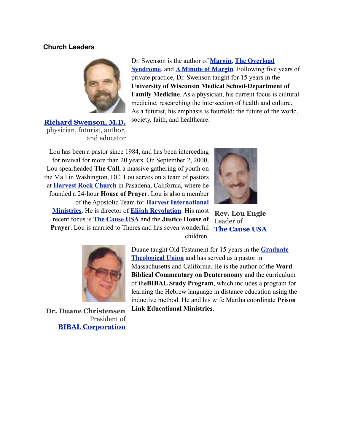#### **Church Leaders**



 **[Richard Swenson, M.D.](http://richardswenson.org/)** physician, futurist, author, and educator

Dr. Swenson is the author of **[Margin](http://www.amazon.com/exec/obidos/ASIN/0891098887/qid=1103588604/sr=2-1/ref=pd_ka_b_2_1/103-9497875-8231024)**, **[The Overload](http://www.amazon.com/exec/obidos/ASIN/1576831310/qid=1103588604/sr=2-2/ref=pd_ka_b_2_2/103-9497875-8231024)  [Syndrome](http://www.amazon.com/exec/obidos/ASIN/1576831310/qid=1103588604/sr=2-2/ref=pd_ka_b_2_2/103-9497875-8231024)**, and **[A Minute of Margin](http://www.amazon.com/exec/obidos/tg/detail/-/1576830683/qid=1103588604/sr=1-7/ref=sr_1_7/103-9497875-8231024?v=glance&s=books)**. Following five years of private practice, Dr. Swenson taught for 15 years in the **University of Wisconsin Medical School-Department of Family Medicine**. As a physician, his current focus is cultural medicine, researching the intersection of health and culture. As a futurist, his emphasis is fourfold: the future of the world, society, faith, and healthcare.

Lou has been a pastor since 1984, and has been interceding for revival for more than 20 years. On September 2, 2000, Lou spearheaded **The Call**, a massive gathering of youth on the Mall in Washington, DC. Lou serves on a team of pastors at **[Harvest Rock Church](http://www.harvestrockchurch.org/)** in Pasadena, California, where he founded a 24-hour **House of Prayer**. Lou is also a member of the Apostolic Team for **[Harvest International](http://www.him.org/)  [Ministries](http://www.him.org/)**. He is director of **[Elijah Revolution](http://www.elijahrevolution.com/er2/index.php)**. His most recent focus is **[The Cause USA](http://www.thecauseusa.com/)** and the **Justice House of Prayer**. Lou is married to Theres and has seven wonderful children.



**Rev. Lou Engle** Leader of **[The Cause USA](http://www.thecauseusa.com/)**



**Dr. Duane Christensen** President of **[BIBAL Corporation](http://www.bibal.net/)**

Duane taught Old Testament for 15 years in the **[Graduate](http://www.gtu.edu/)  [Theological Union](http://www.gtu.edu/)** and has served as a pastor in Massachusetts and California. He is the author of the **Word Biblical Commentary on Deuteronomy** and the curriculum of the**BIBAL Study Program**, which includes a program for learning the Hebrew language in distance education using the inductive method. He and his wife Martha coordinate **Prison Link Educational Ministries**.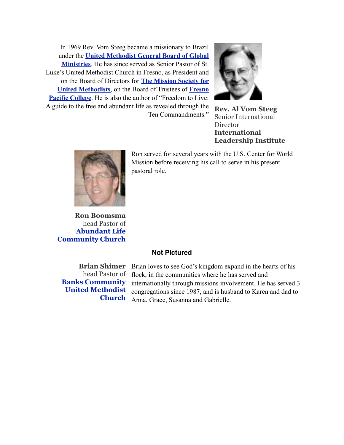In 1969 Rev. Vom Steeg became a missionary to Brazil under the **[United Methodist General Board of Global](http://gbgm-umc.org/home_page/index.cfm)  [Ministries](http://gbgm-umc.org/home_page/index.cfm)**. He has since served as Senior Pastor of St. Luke's United Methodist Church in Fresno, as President and on the Board of Directors for **[The Mission Society for](http://www.msum.org/)  [United Methodists](http://www.msum.org/)**, on the Board of Trustees of **[Fresno](http://www.fresno.edu/)  [Pacific College](http://www.fresno.edu/)**. He is also the author of "Freedom to Live: A guide to the free and abundant life as revealed through the Ten Commandments."



 **Rev. Al Vom Steeg** Senior International **Director International Leadership Institute**



**Ron Boomsma** head Pastor of **[Abundant Life](http://www.alccpasadena.com/)  [Community Church](http://www.alccpasadena.com/)**

Ron served for several years with the U.S. Center for World Mission before receiving his call to serve in his present pastoral role.

#### **Not Pictured**

**[Banks Community](http://www.bcumc.net/)  [United Methodist](http://www.bcumc.net/)  [Church](http://www.bcumc.net/)**

**Brian Shimer** Brian loves to see God's kingdom expand in the hearts of his head Pastor of flock, in the communities where he has served and internationally through missions involvement. He has served 3 congregations since 1987, and is husband to Karen and dad to Anna, Grace, Susanna and Gabrielle.